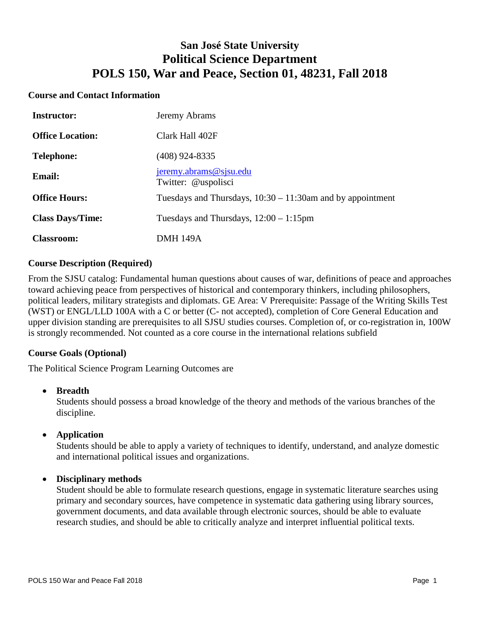# **San José State University Political Science Department POLS 150, War and Peace, Section 01, 48231, Fall 2018**

#### **Course and Contact Information**

| <b>Instructor:</b>      | Jeremy Abrams                                                 |
|-------------------------|---------------------------------------------------------------|
| <b>Office Location:</b> | Clark Hall 402F                                               |
| <b>Telephone:</b>       | (408) 924-8335                                                |
| <b>Email:</b>           | $j$ eremy.abrams@s $j$ su.edu<br>Twitter: @uspolisci          |
| <b>Office Hours:</b>    | Tuesdays and Thursdays, $10:30 - 11:30$ am and by appointment |
| <b>Class Days/Time:</b> | Tuesdays and Thursdays, $12:00 - 1:15$ pm                     |
| <b>Classroom:</b>       | <b>DMH 149A</b>                                               |

#### **Course Description (Required)**

From the SJSU catalog: Fundamental human questions about causes of war, definitions of peace and approaches toward achieving peace from perspectives of historical and contemporary thinkers, including philosophers, political leaders, military strategists and diplomats. GE Area: V Prerequisite: Passage of the Writing Skills Test (WST) or ENGL/LLD 100A with a C or better (C- not accepted), completion of Core General Education and upper division standing are prerequisites to all SJSU studies courses. Completion of, or co-registration in, 100W is strongly recommended. Not counted as a core course in the international relations subfield

# **Course Goals (Optional)**

The Political Science Program Learning Outcomes are

#### • **Breadth**

Students should possess a broad knowledge of the theory and methods of the various branches of the discipline.

• **Application**

Students should be able to apply a variety of techniques to identify, understand, and analyze domestic and international political issues and organizations.

#### • **Disciplinary methods**

Student should be able to formulate research questions, engage in systematic literature searches using primary and secondary sources, have competence in systematic data gathering using library sources, government documents, and data available through electronic sources, should be able to evaluate research studies, and should be able to critically analyze and interpret influential political texts.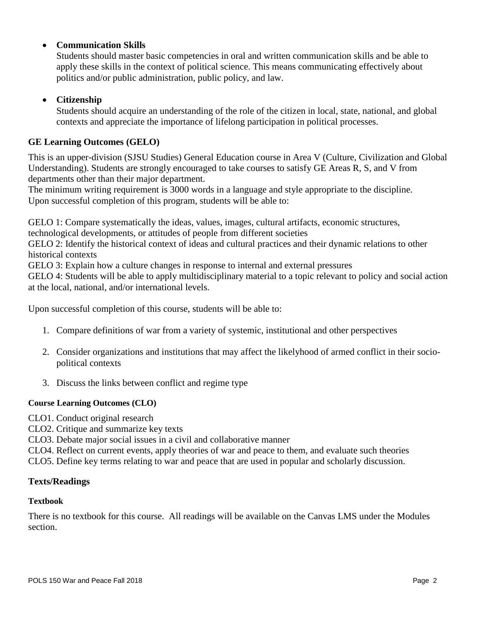# • **Communication Skills**

Students should master basic competencies in oral and written communication skills and be able to apply these skills in the context of political science. This means communicating effectively about politics and/or public administration, public policy, and law.

# • **Citizenship**

Students should acquire an understanding of the role of the citizen in local, state, national, and global contexts and appreciate the importance of lifelong participation in political processes.

# **GE Learning Outcomes (GELO)**

This is an upper-division (SJSU Studies) General Education course in Area V (Culture, Civilization and Global Understanding). Students are strongly encouraged to take courses to satisfy GE Areas R, S, and V from departments other than their major department.

The minimum writing requirement is 3000 words in a language and style appropriate to the discipline. Upon successful completion of this program, students will be able to:

GELO 1: Compare systematically the ideas, values, images, cultural artifacts, economic structures,

technological developments, or attitudes of people from different societies

GELO 2: Identify the historical context of ideas and cultural practices and their dynamic relations to other historical contexts

GELO 3: Explain how a culture changes in response to internal and external pressures

GELO 4: Students will be able to apply multidisciplinary material to a topic relevant to policy and social action at the local, national, and/or international levels.

Upon successful completion of this course, students will be able to:

- 1. Compare definitions of war from a variety of systemic, institutional and other perspectives
- 2. Consider organizations and institutions that may affect the likelyhood of armed conflict in their sociopolitical contexts
- 3. Discuss the links between conflict and regime type

#### **Course Learning Outcomes (CLO)**

- CLO1. Conduct original research
- CLO2. Critique and summarize key texts
- CLO3. Debate major social issues in a civil and collaborative manner
- CLO4. Reflect on current events, apply theories of war and peace to them, and evaluate such theories

CLO5. Define key terms relating to war and peace that are used in popular and scholarly discussion.

#### **Texts/Readings**

#### **Textbook**

There is no textbook for this course. All readings will be available on the Canvas LMS under the Modules section.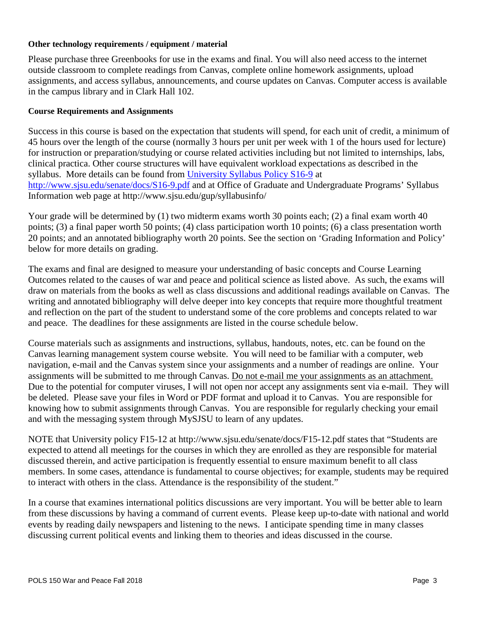#### **Other technology requirements / equipment / material**

Please purchase three Greenbooks for use in the exams and final. You will also need access to the internet outside classroom to complete readings from Canvas, complete online homework assignments, upload assignments, and access syllabus, announcements, and course updates on Canvas. Computer access is available in the campus library and in Clark Hall 102.

#### **Course Requirements and Assignments**

Success in this course is based on the expectation that students will spend, for each unit of credit, a minimum of 45 hours over the length of the course (normally 3 hours per unit per week with 1 of the hours used for lecture) for instruction or preparation/studying or course related activities including but not limited to internships, labs, clinical practica. Other course structures will have equivalent workload expectations as described in the syllabus. More details can be found from [University Syllabus Policy S16-9](http://www.sjsu.edu/senate/docs/S16-9.pdf) at <http://www.sjsu.edu/senate/docs/S16-9.pdf> and at Office of Graduate and Undergraduate Programs' Syllabus Information web page at http://www.sjsu.edu/gup/syllabusinfo/

Your grade will be determined by (1) two midterm exams worth 30 points each; (2) a final exam worth 40 points; (3) a final paper worth 50 points; (4) class participation worth 10 points; (6) a class presentation worth 20 points; and an annotated bibliography worth 20 points. See the section on 'Grading Information and Policy' below for more details on grading.

The exams and final are designed to measure your understanding of basic concepts and Course Learning Outcomes related to the causes of war and peace and political science as listed above. As such, the exams will draw on materials from the books as well as class discussions and additional readings available on Canvas. The writing and annotated bibliography will delve deeper into key concepts that require more thoughtful treatment and reflection on the part of the student to understand some of the core problems and concepts related to war and peace. The deadlines for these assignments are listed in the course schedule below.

Course materials such as assignments and instructions, syllabus, handouts, notes, etc. can be found on the Canvas learning management system course website. You will need to be familiar with a computer, web navigation, e-mail and the Canvas system since your assignments and a number of readings are online. Your assignments will be submitted to me through Canvas. Do not e-mail me your assignments as an attachment. Due to the potential for computer viruses, I will not open nor accept any assignments sent via e-mail. They will be deleted. Please save your files in Word or PDF format and upload it to Canvas. You are responsible for knowing how to submit assignments through Canvas. You are responsible for regularly checking your email and with the messaging system through MySJSU to learn of any updates.

NOTE that University policy F15-12 at http://www.sjsu.edu/senate/docs/F15-12.pdf states that "Students are expected to attend all meetings for the courses in which they are enrolled as they are responsible for material discussed therein, and active participation is frequently essential to ensure maximum benefit to all class members. In some cases, attendance is fundamental to course objectives; for example, students may be required to interact with others in the class. Attendance is the responsibility of the student."

In a course that examines international politics discussions are very important. You will be better able to learn from these discussions by having a command of current events. Please keep up-to-date with national and world events by reading daily newspapers and listening to the news. I anticipate spending time in many classes discussing current political events and linking them to theories and ideas discussed in the course.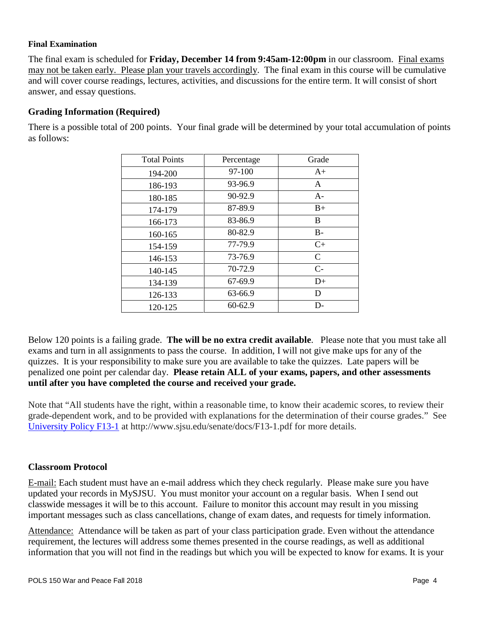#### **Final Examination**

The final exam is scheduled for **Friday, December 14 from 9:45am-12:00pm** in our classroom. Final exams may not be taken early. Please plan your travels accordingly. The final exam in this course will be cumulative and will cover course readings, lectures, activities, and discussions for the entire term. It will consist of short answer, and essay questions.

### **Grading Information (Required)**

| <b>Total Points</b> | Percentage | Grade         |
|---------------------|------------|---------------|
| 194-200             | 97-100     | $A+$          |
| 186-193             | 93-96.9    | A             |
| 180-185             | 90-92.9    | $A-$          |
| 174-179             | 87-89.9    | $B+$          |
| 166-173             | 83-86.9    | B             |
| 160-165             | 80-82.9    | $B -$         |
| 154-159             | 77-79.9    | $C+$          |
| 146-153             | 73-76.9    | $\mathcal{C}$ |
| 140-145             | 70-72.9    | $C-$          |
| 134-139             | 67-69.9    | $D+$          |
| 126-133             | 63-66.9    | D             |

There is a possible total of 200 points. Your final grade will be determined by your total accumulation of points as follows:

Below 120 points is a failing grade. **The will be no extra credit available**. Please note that you must take all exams and turn in all assignments to pass the course. In addition, I will not give make ups for any of the quizzes. It is your responsibility to make sure you are available to take the quizzes. Late papers will be penalized one point per calendar day. **Please retain ALL of your exams, papers, and other assessments until after you have completed the course and received your grade.**

120-125 60-62.9 D-

Note that "All students have the right, within a reasonable time, to know their academic scores, to review their grade-dependent work, and to be provided with explanations for the determination of their course grades." See [University Policy F13-1](http://www.sjsu.edu/senate/docs/F13-1.pdf) at http://www.sjsu.edu/senate/docs/F13-1.pdf for more details.

#### **Classroom Protocol**

E-mail: Each student must have an e-mail address which they check regularly. Please make sure you have updated your records in MySJSU. You must monitor your account on a regular basis. When I send out classwide messages it will be to this account. Failure to monitor this account may result in you missing important messages such as class cancellations, change of exam dates, and requests for timely information.

Attendance: Attendance will be taken as part of your class participation grade. Even without the attendance requirement, the lectures will address some themes presented in the course readings, as well as additional information that you will not find in the readings but which you will be expected to know for exams. It is your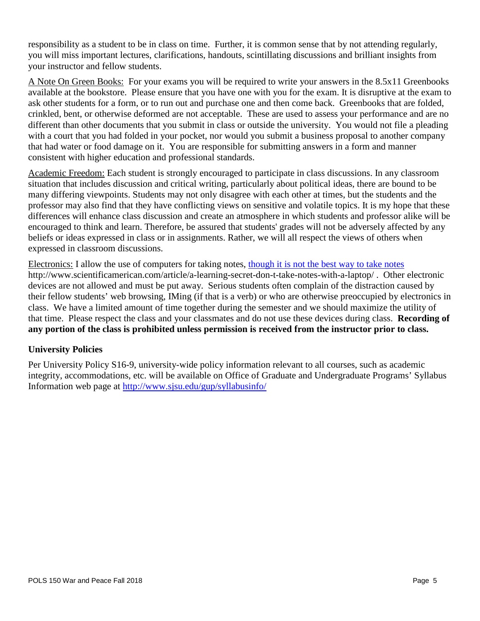responsibility as a student to be in class on time. Further, it is common sense that by not attending regularly, you will miss important lectures, clarifications, handouts, scintillating discussions and brilliant insights from your instructor and fellow students.

A Note On Green Books: For your exams you will be required to write your answers in the 8.5x11 Greenbooks available at the bookstore. Please ensure that you have one with you for the exam. It is disruptive at the exam to ask other students for a form, or to run out and purchase one and then come back. Greenbooks that are folded, crinkled, bent, or otherwise deformed are not acceptable. These are used to assess your performance and are no different than other documents that you submit in class or outside the university. You would not file a pleading with a court that you had folded in your pocket, nor would you submit a business proposal to another company that had water or food damage on it. You are responsible for submitting answers in a form and manner consistent with higher education and professional standards.

Academic Freedom: Each student is strongly encouraged to participate in class discussions. In any classroom situation that includes discussion and critical writing, particularly about political ideas, there are bound to be many differing viewpoints. Students may not only disagree with each other at times, but the students and the professor may also find that they have conflicting views on sensitive and volatile topics. It is my hope that these differences will enhance class discussion and create an atmosphere in which students and professor alike will be encouraged to think and learn. Therefore, be assured that students' grades will not be adversely affected by any beliefs or ideas expressed in class or in assignments. Rather, we will all respect the views of others when expressed in classroom discussions.

Electronics: I allow the use of computers for taking notes, [though it is not the best way to take notes](http://www.scientificamerican.com/article/a-learning-secret-don-t-take-notes-with-a-laptop/)  http://www.scientificamerican.com/article/a-learning-secret-don-t-take-notes-with-a-laptop/ . Other electronic devices are not allowed and must be put away. Serious students often complain of the distraction caused by their fellow students' web browsing, IMing (if that is a verb) or who are otherwise preoccupied by electronics in class. We have a limited amount of time together during the semester and we should maximize the utility of that time. Please respect the class and your classmates and do not use these devices during class. **Recording of any portion of the class is prohibited unless permission is received from the instructor prior to class.**

# **University Policies**

Per University Policy S16-9, university-wide policy information relevant to all courses, such as academic integrity, accommodations, etc. will be available on Office of Graduate and Undergraduate Programs' Syllabus Information web page at<http://www.sjsu.edu/gup/syllabusinfo/>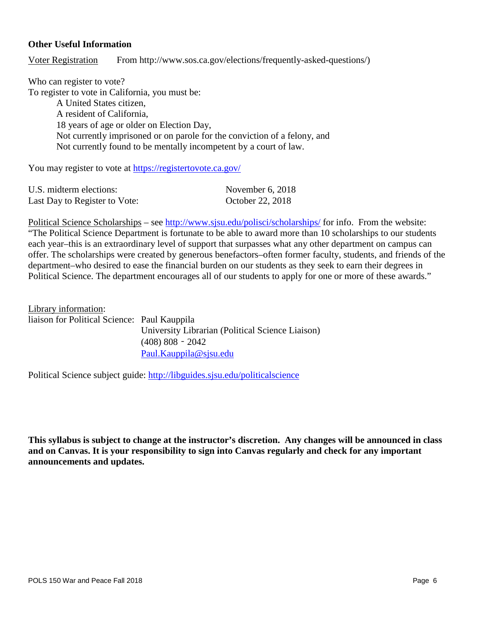#### **Other Useful Information**

Voter Registration From http://www.sos.ca.gov/elections/frequently-asked-questions/)

Who can register to vote? To register to vote in California, you must be: A United States citizen, A resident of California, 18 years of age or older on Election Day, Not currently imprisoned or on parole for the conviction of a felony, and Not currently found to be mentally incompetent by a court of law.

You may register to vote at<https://registertovote.ca.gov/>

| U.S. midterm elections:       | November $6, 2018$ |
|-------------------------------|--------------------|
| Last Day to Register to Vote: | October 22, 2018   |

Political Science Scholarships – see<http://www.sjsu.edu/polisci/scholarships/> for info. From the website: "The Political Science Department is fortunate to be able to award more than 10 scholarships to our students each year–this is an extraordinary level of support that surpasses what any other department on campus can offer. The scholarships were created by generous benefactors–often former faculty, students, and friends of the department–who desired to ease the financial burden on our students as they seek to earn their degrees in Political Science. The department encourages all of our students to apply for one or more of these awards."

Library information: liaison for Political Science: Paul Kauppila University Librarian (Political Science Liaison) (408) 808‐2042 [Paul.Kauppila@sjsu.edu](mailto:Paul.Kauppila@sjsu.edu)

Political Science subject guide: <http://libguides.sjsu.edu/politicalscience>

**This syllabus is subject to change at the instructor's discretion. Any changes will be announced in class and on Canvas. It is your responsibility to sign into Canvas regularly and check for any important announcements and updates.**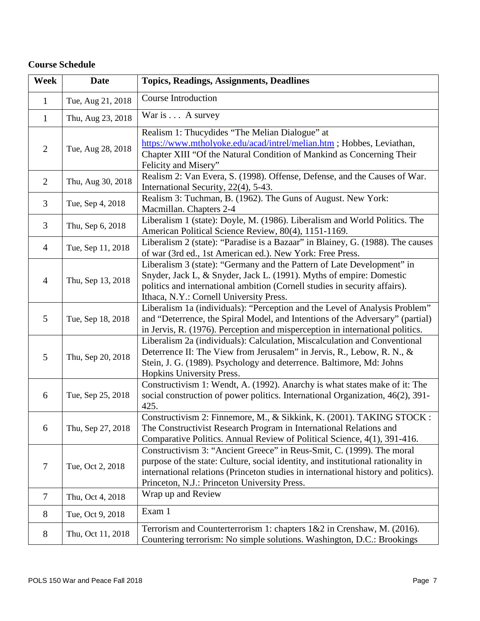# **Course Schedule**

| <b>Week</b>    | <b>Date</b>       | <b>Topics, Readings, Assignments, Deadlines</b>                                                                                                                                                                                                                                                 |
|----------------|-------------------|-------------------------------------------------------------------------------------------------------------------------------------------------------------------------------------------------------------------------------------------------------------------------------------------------|
| $\mathbf{1}$   | Tue, Aug 21, 2018 | Course Introduction                                                                                                                                                                                                                                                                             |
| $\mathbf{1}$   | Thu, Aug 23, 2018 | War is A survey                                                                                                                                                                                                                                                                                 |
| $\overline{2}$ | Tue, Aug 28, 2018 | Realism 1: Thucydides "The Melian Dialogue" at<br>https://www.mtholyoke.edu/acad/intrel/melian.htm ; Hobbes, Leviathan,<br>Chapter XIII "Of the Natural Condition of Mankind as Concerning Their<br>Felicity and Misery"                                                                        |
| $\overline{2}$ | Thu, Aug 30, 2018 | Realism 2: Van Evera, S. (1998). Offense, Defense, and the Causes of War.<br>International Security, 22(4), 5-43.                                                                                                                                                                               |
| 3              | Tue, Sep 4, 2018  | Realism 3: Tuchman, B. (1962). The Guns of August. New York:<br>Macmillan. Chapters 2-4                                                                                                                                                                                                         |
| 3              | Thu, Sep 6, 2018  | Liberalism 1 (state): Doyle, M. (1986). Liberalism and World Politics. The<br>American Political Science Review, 80(4), 1151-1169.                                                                                                                                                              |
| $\overline{4}$ | Tue, Sep 11, 2018 | Liberalism 2 (state): "Paradise is a Bazaar" in Blainey, G. (1988). The causes<br>of war (3rd ed., 1st American ed.). New York: Free Press.                                                                                                                                                     |
| $\overline{4}$ | Thu, Sep 13, 2018 | Liberalism 3 (state): "Germany and the Pattern of Late Development" in<br>Snyder, Jack L, & Snyder, Jack L. (1991). Myths of empire: Domestic<br>politics and international ambition (Cornell studies in security affairs).<br>Ithaca, N.Y.: Cornell University Press.                          |
| 5              | Tue, Sep 18, 2018 | Liberalism 1a (individuals): "Perception and the Level of Analysis Problem"<br>and "Deterrence, the Spiral Model, and Intentions of the Adversary" (partial)<br>in Jervis, R. (1976). Perception and misperception in international politics.                                                   |
| 5              | Thu, Sep 20, 2018 | Liberalism 2a (individuals): Calculation, Miscalculation and Conventional<br>Deterrence II: The View from Jerusalem" in Jervis, R., Lebow, R. N., &<br>Stein, J. G. (1989). Psychology and deterrence. Baltimore, Md: Johns<br>Hopkins University Press.                                        |
| 6              | Tue, Sep 25, 2018 | Constructivism 1: Wendt, A. (1992). Anarchy is what states make of it: The<br>social construction of power politics. International Organization, 46(2), 391-<br>425.                                                                                                                            |
| 6              | Thu, Sep 27, 2018 | Constructivism 2: Finnemore, M., & Sikkink, K. (2001). TAKING STOCK :<br>The Constructivist Research Program in International Relations and<br>Comparative Politics. Annual Review of Political Science, 4(1), 391-416.                                                                         |
| 7              | Tue, Oct 2, 2018  | Constructivism 3: "Ancient Greece" in Reus-Smit, C. (1999). The moral<br>purpose of the state: Culture, social identity, and institutional rationality in<br>international relations (Princeton studies in international history and politics).<br>Princeton, N.J.: Princeton University Press. |
| $\overline{7}$ | Thu, Oct 4, 2018  | Wrap up and Review                                                                                                                                                                                                                                                                              |
| 8              | Tue, Oct 9, 2018  | Exam 1                                                                                                                                                                                                                                                                                          |
| 8              | Thu, Oct 11, 2018 | Terrorism and Counterterrorism 1: chapters $1&2$ in Crenshaw, M. (2016).<br>Countering terrorism: No simple solutions. Washington, D.C.: Brookings                                                                                                                                              |